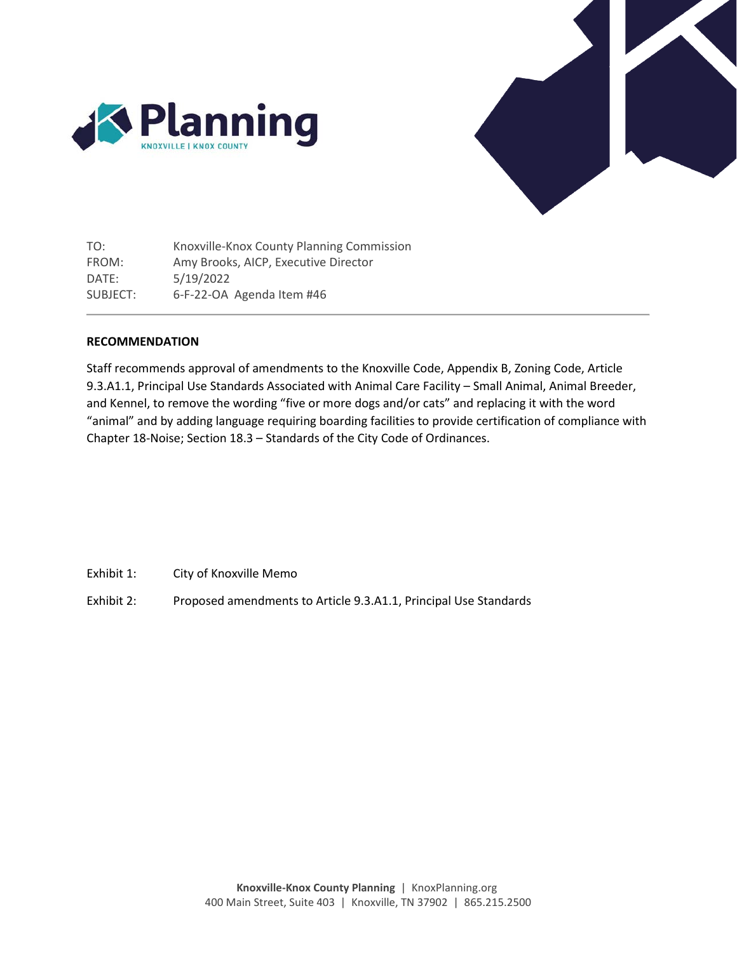



TO: FROM: DATE: SUBJECT: Knoxville-Knox County Planning Commission Amy Brooks, AICP, Executive Director 5/19/2022 6-F-22-OA Agenda Item #46

#### **RECOMMENDATION**

Staff recommends approval of amendments to the Knoxville Code, Appendix B, Zoning Code, Article 9.3.A1.1, Principal Use Standards Associated with Animal Care Facility – Small Animal, Animal Breeder, and Kennel, to remove the wording "five or more dogs and/or cats" and replacing it with the word "animal" and by adding language requiring boarding facilities to provide certification of compliance with Chapter 18-Noise; Section 18.3 – Standards of the City Code of Ordinances.

Exhibit 1: City of Knoxville Memo

Exhibit 2: Proposed amendments to Article 9.3.A1.1, Principal Use Standards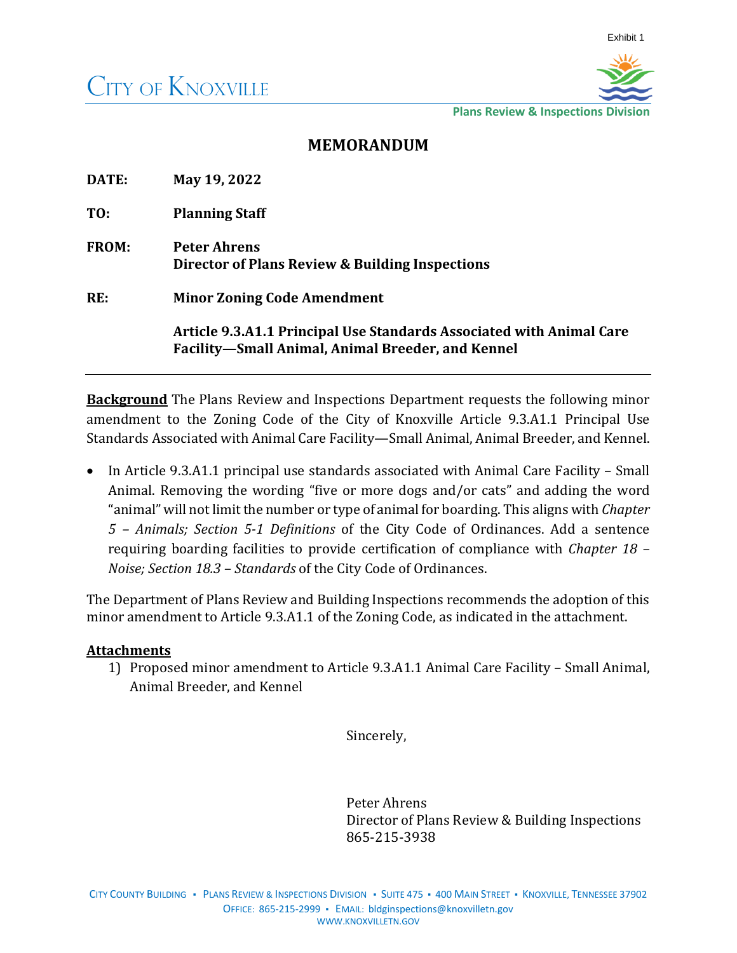

**Plans Review & Inspections Division**

# **MEMORANDUM**

| DATE:        | May 19, 2022                                                                                                              |
|--------------|---------------------------------------------------------------------------------------------------------------------------|
| TO:          | <b>Planning Staff</b>                                                                                                     |
| <b>FROM:</b> | <b>Peter Ahrens</b><br>Director of Plans Review & Building Inspections                                                    |
| RE:          | <b>Minor Zoning Code Amendment</b>                                                                                        |
|              | Article 9.3.A1.1 Principal Use Standards Associated with Animal Care<br>Facility-Small Animal, Animal Breeder, and Kennel |

**Background** The Plans Review and Inspections Department requests the following minor amendment to the Zoning Code of the City of Knoxville Article 9.3.A1.1 Principal Use Standards Associated with Animal Care Facility—Small Animal, Animal Breeder, and Kennel.

• In Article 9.3.A1.1 principal use standards associated with Animal Care Facility – Small Animal. Removing the wording "five or more dogs and/or cats" and adding the word "animal" will not limit the number or type of animal for boarding. This aligns with *Chapter 5 – Animals; Section 5-1 Definitions* of the City Code of Ordinances. Add a sentence requiring boarding facilities to provide certification of compliance with *Chapter 18 – Noise; Section 18.3 – Standards* of the City Code of Ordinances.

The Department of Plans Review and Building Inspections recommends the adoption of this minor amendment to Article 9.3.A1.1 of the Zoning Code, as indicated in the attachment.

## **Attachments**

1) Proposed minor amendment to Article 9.3.A1.1 Animal Care Facility – Small Animal, Animal Breeder, and Kennel

Sincerely,

Peter Ahrens Director of Plans Review & Building Inspections 865-215-3938